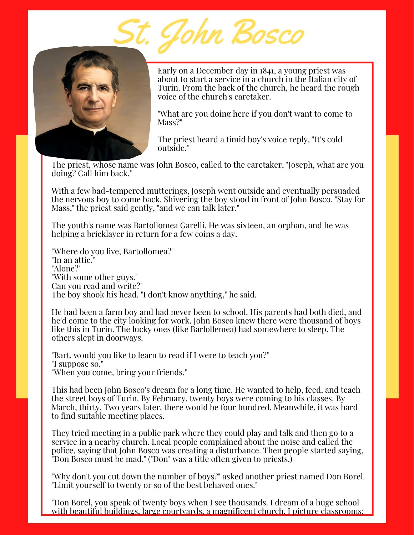John Bosco



Early on a December day in 1841, a young priest was about to start a service in a church in the Italian city of Turin. From the back of the church, he heard the rough voice of the church's caretaker.

"What are you doing here if you don't want to come to Mass?"

The priest heard a timid boy's voice reply, "It's cold outside."

The priest, whose name was John Bosco, called to the caretaker, "Joseph, what are you doing? Call him back."

With a few bad-tempered mutterings, Joseph went outside and eventually persuaded the nervous boy to come back. Shivering the boy stood in front of John Bosco. "Stay for Mass," the priest said gently, "and we can talk later."

The youth's name was Bartollomea Garelli. He was sixteen, an orphan, and he was helping a bricklayer in return for a few coins a day.

"Where do you live, Bartollomea?" "In an attic." "Alone?" "With some other guys." Can you read and write?" The boy shook his head. "I don't know anything," he said.

He had been a farm boy and had never been to school. His parents had both died, and he'd come to the city looking for work. John Bosco knew there were thousand of boys like this in Turin. The lucky ones (like Barlollemea) had somewhere to sleep. The others slept in doorways.

"Bart, would you like to learn to read if I were to teach you?" "I suppose so." "When you come, bring your friends."

This had been John Bosco's dream for a long time. He wanted to help, feed, and teach the street boys of Turin. By February, twenty boys were coming to his classes. By March, thirty. Two years later, there would be four hundred. Meanwhile, it was hard to find suitable meeting places.

They tried meeting in a public park where they could play and talk and then go to a service in a nearby church. Local people complained about the noise and called the police, saying that John Bosco was creating a disturbance. Then people started saying, "Don Bosco must be mad." ("Don" was a title often given to priests.)

"Why don't you cut down the number of boys?" asked another priest named Don Borel. "Limit yourself to twenty or so of the best behaved ones."

"Don Borel, you speak of twenty boys when I see thousands. I dream of a huge school with beautiful buildings, large courtyards, a magnificent church. I picture classrooms;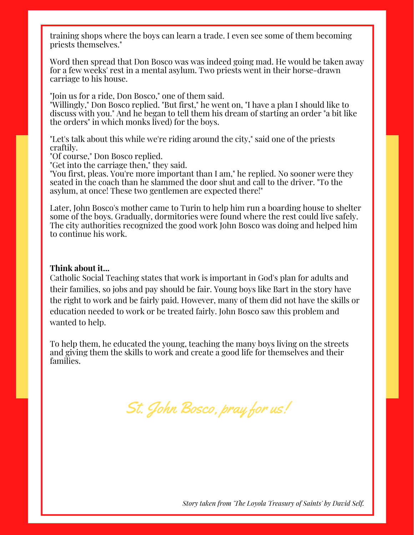training shops where the boys can learn a trade. I even see some of them becoming priests themselves."

Word then spread that Don Bosco was was indeed going mad. He would be taken away for a few weeks' rest in a mental asylum. Two priests went in their horse-drawn carriage to his house.

"Join us for a ride, Don Bosco," one of them said.

"Willingly," Don Bosco replied. "But first," he went on, "I have a plan I should like to discuss with you." And he began to tell them his dream of starting an order "a bit like the orders" in which monks lived) for the boys.

"Let's talk about this while we're riding around the city," said one of the priests craftily.

"Of course," Don Bosco replied.

"Get into the carriage then," they said.

"You first, pleas. You're more important than I am," he replied. No sooner were they seated in the coach than he slammed the door shut and call to the driver. "To the asylum, at once! These two gentlemen are expected there!"

Later, John Bosco's mother came to Turin to help him run a boarding house to shelter some of the boys. Gradually, dormitories were found where the rest could live safely. The city authorities recognized the good work John Bosco was doing and helped him to continue his work.

## **Think about it...**

Catholic Social Teaching states that work is important in God's plan for adults and their families, so jobs and pay should be fair. Young boys like Bart in the story have the right to work and be fairly paid. However, many of them did not have the skills or education needed to work or be treated fairly. John Bosco saw this problem and wanted to help.

To help them, he educated the young, teaching the many boys living on the streets and giving them the skills to work and create a good life for themselves and their families.

St. John Bosco, pray for us!

*Story taken from 'The Loyola Treasury of Saints' by David Self.*